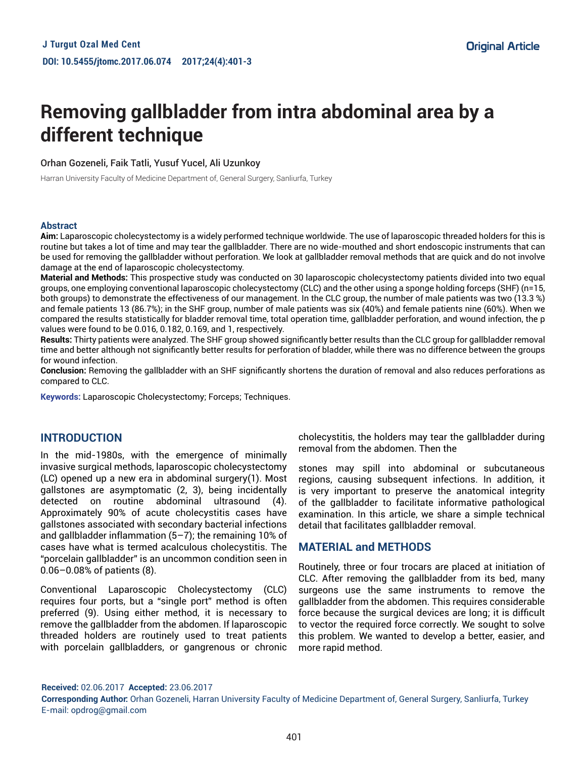# **Removing gallbladder from intra abdominal area by a different technique**

Orhan Gozeneli, Faik Tatli, Yusuf Yucel, Ali Uzunkoy

Harran University Faculty of Medicine Department of, General Surgery, Sanliurfa, Turkey

#### **Abstract**

**Aim:** Laparoscopic cholecystectomy is a widely performed technique worldwide. The use of laparoscopic threaded holders for this is routine but takes a lot of time and may tear the gallbladder. There are no wide-mouthed and short endoscopic instruments that can be used for removing the gallbladder without perforation. We look at gallbladder removal methods that are quick and do not involve damage at the end of laparoscopic cholecystectomy.

**Material and Methods:** This prospective study was conducted on 30 laparoscopic cholecystectomy patients divided into two equal groups, one employing conventional laparoscopic cholecystectomy (CLC) and the other using a sponge holding forceps (SHF) (n=15, both groups) to demonstrate the effectiveness of our management. In the CLC group, the number of male patients was two (13.3 %) and female patients 13 (86.7%); in the SHF group, number of male patients was six (40%) and female patients nine (60%). When we compared the results statistically for bladder removal time, total operation time, gallbladder perforation, and wound infection, the p values were found to be 0.016, 0.182, 0.169, and 1, respectively.

**Results:** Thirty patients were analyzed. The SHF group showed significantly better results than the CLC group for gallbladder removal time and better although not significantly better results for perforation of bladder, while there was no difference between the groups for wound infection.

**Conclusion:** Removing the gallbladder with an SHF significantly shortens the duration of removal and also reduces perforations as compared to CLC.

**Keywords:** Laparoscopic Cholecystectomy; Forceps; Techniques.

# **INTRODUCTION**

In the mid-1980s, with the emergence of minimally invasive surgical methods, laparoscopic cholecystectomy (LC) opened up a new era in abdominal surgery(1). Most gallstones are asymptomatic (2, 3), being incidentally detected on routine abdominal ultrasound (4). Approximately 90% of acute cholecystitis cases have gallstones associated with secondary bacterial infections and gallbladder inflammation (5–7); the remaining 10% of cases have what is termed acalculous cholecystitis. The "porcelain gallbladder" is an uncommon condition seen in 0.06–0.08% of patients (8).

Conventional Laparoscopic Cholecystectomy (CLC) requires four ports, but a "single port" method is often preferred (9). Using either method, it is necessary to remove the gallbladder from the abdomen. If laparoscopic threaded holders are routinely used to treat patients with porcelain gallbladders, or gangrenous or chronic

cholecystitis, the holders may tear the gallbladder during removal from the abdomen. Then the

stones may spill into abdominal or subcutaneous regions, causing subsequent infections. In addition, it is very important to preserve the anatomical integrity of the gallbladder to facilitate informative pathological examination. In this article, we share a simple technical detail that facilitates gallbladder removal.

#### **MATERIAL and METHODS**

Routinely, three or four trocars are placed at initiation of CLC. After removing the gallbladder from its bed, many surgeons use the same instruments to remove the gallbladder from the abdomen. This requires considerable force because the surgical devices are long; it is difficult to vector the required force correctly. We sought to solve this problem. We wanted to develop a better, easier, and more rapid method.

**Received:** 02.06.2017 **Accepted:** 23.06.2017

**Corresponding Author:** Orhan Gozeneli, Harran University Faculty of Medicine Department of, General Surgery, Sanliurfa, Turkey E-mail: opdrog@gmail.com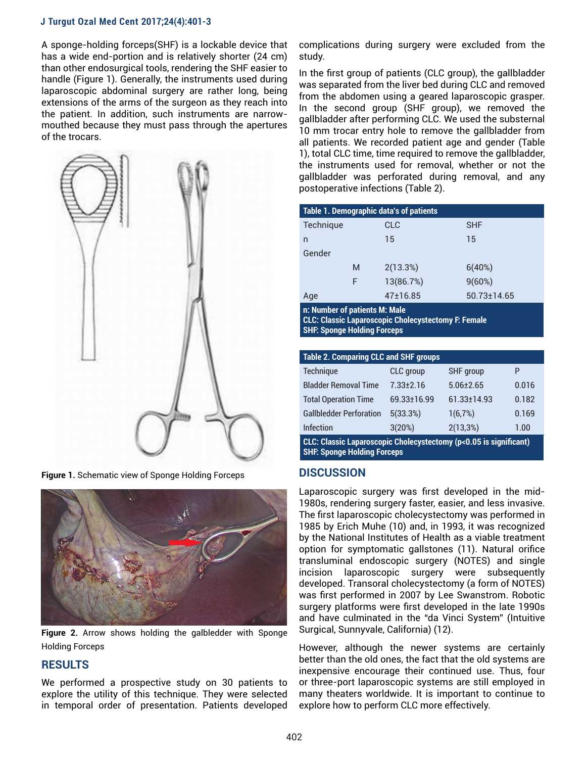#### **J Turgut Ozal Med Cent 2017;24(4):401-3**

A sponge-holding forceps(SHF) is a lockable device that has a wide end-portion and is relatively shorter (24 cm) than other endosurgical tools, rendering the SHF easier to handle (Figure 1). Generally, the instruments used during laparoscopic abdominal surgery are rather long, being extensions of the arms of the surgeon as they reach into the patient. In addition, such instruments are narrowmouthed because they must pass through the apertures of the trocars.



**Figure 1.** Schematic view of Sponge Holding Forceps



**Figure 2.** Arrow shows holding the galbledder with Sponge Holding Forceps

## **RESULTS**

We performed a prospective study on 30 patients to explore the utility of this technique. They were selected in temporal order of presentation. Patients developed complications during surgery were excluded from the study.

In the first group of patients (CLC group), the gallbladder was separated from the liver bed during CLC and removed from the abdomen using a geared laparoscopic grasper. In the second group (SHF group), we removed the gallbladder after performing CLC. We used the substernal 10 mm trocar entry hole to remove the gallbladder from all patients. We recorded patient age and gender (Table 1), total CLC time, time required to remove the gallbladder, the instruments used for removal, whether or not the gallbladder was perforated during removal, and any postoperative infections (Table 2).

| Table 1. Demographic data's of patients |   |            |             |  |  |
|-----------------------------------------|---|------------|-------------|--|--|
| Technique                               |   | <b>CLC</b> | <b>SHF</b>  |  |  |
| n                                       |   | 15         | 15          |  |  |
| Gender                                  |   |            |             |  |  |
|                                         | M | 2(13.3%)   | 6(40%)      |  |  |
|                                         | F | 13(86.7%)  | 9(60%)      |  |  |
| Age                                     |   | 47±16.85   | 50.73±14.65 |  |  |

**n: Number of patients M: Male**

**CLC: Classic Laparoscopic Cholecystectomy F: Female SHF: Sponge Holding Forceps**

| <b>Table 2. Comparing CLC and SHF groups</b>                      |                  |                   |       |  |  |
|-------------------------------------------------------------------|------------------|-------------------|-------|--|--|
| Technique                                                         | <b>CLC</b> group | <b>SHF</b> group  | P     |  |  |
| <b>Bladder Removal Time</b>                                       | $7.33 + 2.16$    | $5.06 + 2.65$     | 0.016 |  |  |
| <b>Total Operation Time</b>                                       | 69.33+16.99      | $61.33 \pm 14.93$ | 0.182 |  |  |
| <b>Gallbledder Perforation</b>                                    | 5(33.3%)         | 1(6,7%)           | 0.169 |  |  |
| <b>Infection</b>                                                  | 3(20%)           | 2(13,3%)          | 1.00  |  |  |
| CLC: Classic Laparoscopic Cholecystectomy (p<0.05 is significant) |                  |                   |       |  |  |

**SHF: Sponge Holding Forceps**

## **DISCUSSION**

Laparoscopic surgery was first developed in the mid-1980s, rendering surgery faster, easier, and less invasive. The first laparoscopic cholecystectomy was performed in 1985 by Erich Muhe (10) and, in 1993, it was recognized by the National Institutes of Health as a viable treatment option for symptomatic gallstones (11). Natural orifice transluminal endoscopic surgery (NOTES) and single incision laparoscopic surgery were subsequently developed. Transoral cholecystectomy (a form of NOTES) was first performed in 2007 by Lee Swanstrom. Robotic surgery platforms were first developed in the late 1990s and have culminated in the "da Vinci System" (Intuitive Surgical, Sunnyvale, California) (12).

However, although the newer systems are certainly better than the old ones, the fact that the old systems are inexpensive encourage their continued use. Thus, four or three-port laparoscopic systems are still employed in many theaters worldwide. It is important to continue to explore how to perform CLC more effectively.